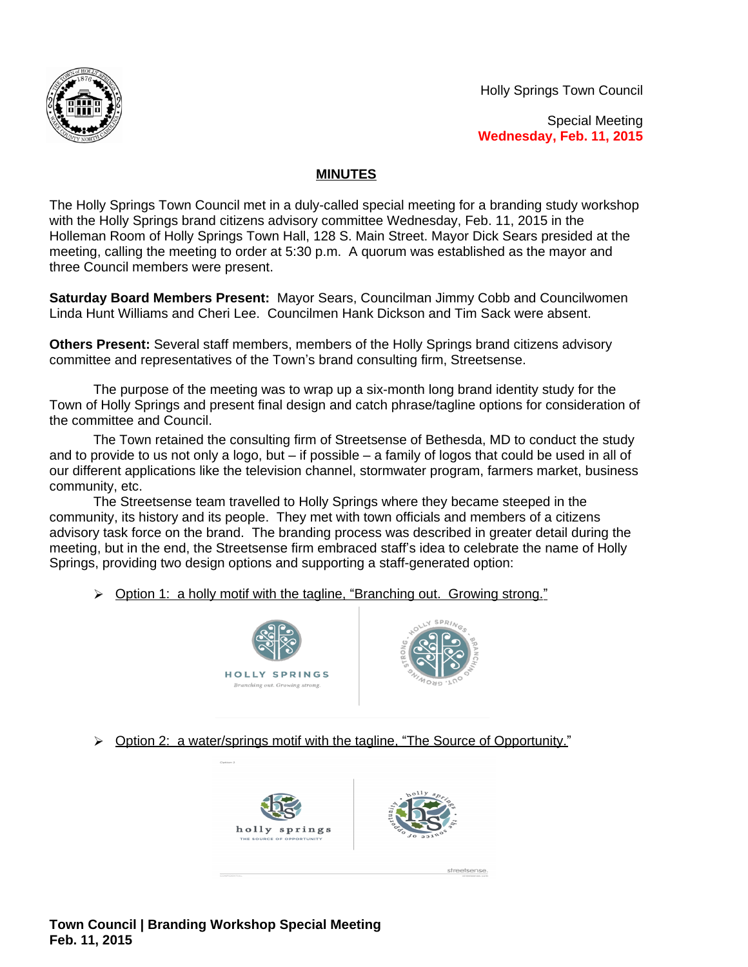

Holly Springs Town Council

Special Meeting **Wednesday, Feb. 11, 2015**

## **MINUTES**

The Holly Springs Town Council met in a duly-called special meeting for a branding study workshop with the Holly Springs brand citizens advisory committee Wednesday, Feb. 11, 2015 in the Holleman Room of Holly Springs Town Hall, 128 S. Main Street. Mayor Dick Sears presided at the meeting, calling the meeting to order at 5:30 p.m. A quorum was established as the mayor and three Council members were present.

**Saturday Board Members Present:** Mayor Sears, Councilman Jimmy Cobb and Councilwomen Linda Hunt Williams and Cheri Lee. Councilmen Hank Dickson and Tim Sack were absent.

**Others Present:** Several staff members, members of the Holly Springs brand citizens advisory committee and representatives of the Town's brand consulting firm, Streetsense.

The purpose of the meeting was to wrap up a six-month long brand identity study for the Town of Holly Springs and present final design and catch phrase/tagline options for consideration of the committee and Council.

The Town retained the consulting firm of Streetsense of Bethesda, MD to conduct the study and to provide to us not only a logo, but – if possible – a family of logos that could be used in all of our different applications like the television channel, stormwater program, farmers market, business community, etc.

The Streetsense team travelled to Holly Springs where they became steeped in the community, its history and its people. They met with town officials and members of a citizens advisory task force on the brand. The branding process was described in greater detail during the meeting, but in the end, the Streetsense firm embraced staff's idea to celebrate the name of Holly Springs, providing two design options and supporting a staff-generated option:

▶ Option 1: a holly motif with the tagline, "Branching out. Growing strong."



Option 2: a water/springs motif with the tagline, "The Source of Opportunity."

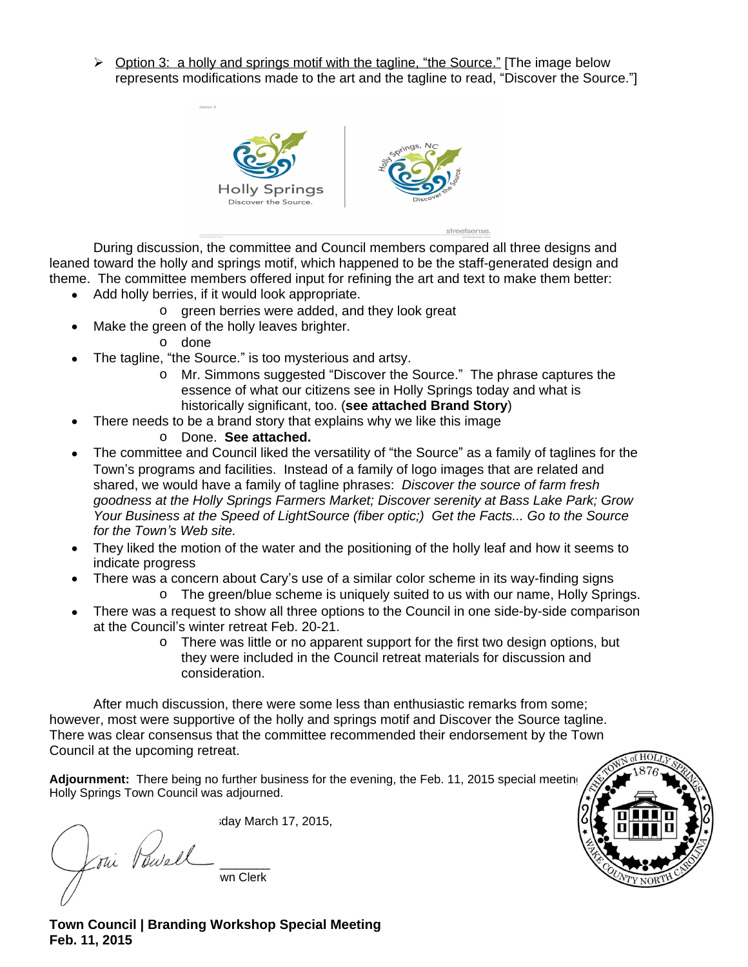$\triangleright$  Option 3: a holly and springs motif with the tagline, "the Source." [The image below represents modifications made to the art and the tagline to read, "Discover the Source."]



During discussion, the committee and Council members compared all three designs and leaned toward the holly and springs motif, which happened to be the staff-generated design and theme. The committee members offered input for refining the art and text to make them better:

- Add holly berries, if it would look appropriate.
	- o green berries were added, and they look great
- Make the green of the holly leaves brighter.
	- o done
	- The tagline, "the Source." is too mysterious and artsy.
		- o Mr. Simmons suggested "Discover the Source." The phrase captures the essence of what our citizens see in Holly Springs today and what is historically significant, too. (**see attached Brand Story**)

streetsense.

- There needs to be a brand story that explains why we like this image
	- o Done. **See attached.**
- The committee and Council liked the versatility of "the Source" as a family of taglines for the Town's programs and facilities. Instead of a family of logo images that are related and shared, we would have a family of tagline phrases: *Discover the source of farm fresh goodness at the Holly Springs Farmers Market; Discover serenity at Bass Lake Park; Grow Your Business at the Speed of LightSource (fiber optic;) Get the Facts... Go to the Source for the Town's Web site.*
- They liked the motion of the water and the positioning of the holly leaf and how it seems to indicate progress
- There was a concern about Cary's use of a similar color scheme in its way-finding signs
	- o The green/blue scheme is uniquely suited to us with our name, Holly Springs.
- There was a request to show all three options to the Council in one side-by-side comparison at the Council's winter retreat Feb. 20-21.
	- o There was little or no apparent support for the first two design options, but they were included in the Council retreat materials for discussion and consideration.

After much discussion, there were some less than enthusiastic remarks from some; however, most were supportive of the holly and springs motif and Discover the Source tagline. There was clear consensus that the committee recommended their endorsement by the Town Council at the upcoming retreat.

Adjournment: There being no further business for the evening, the Feb. 11, 2015 special meeting Holly Springs Town Council was adjourned.

day March 17, 2015, Thi Powell wn Clerk

**Town Council | Branding Workshop Special Meeting Feb. 11, 2015**